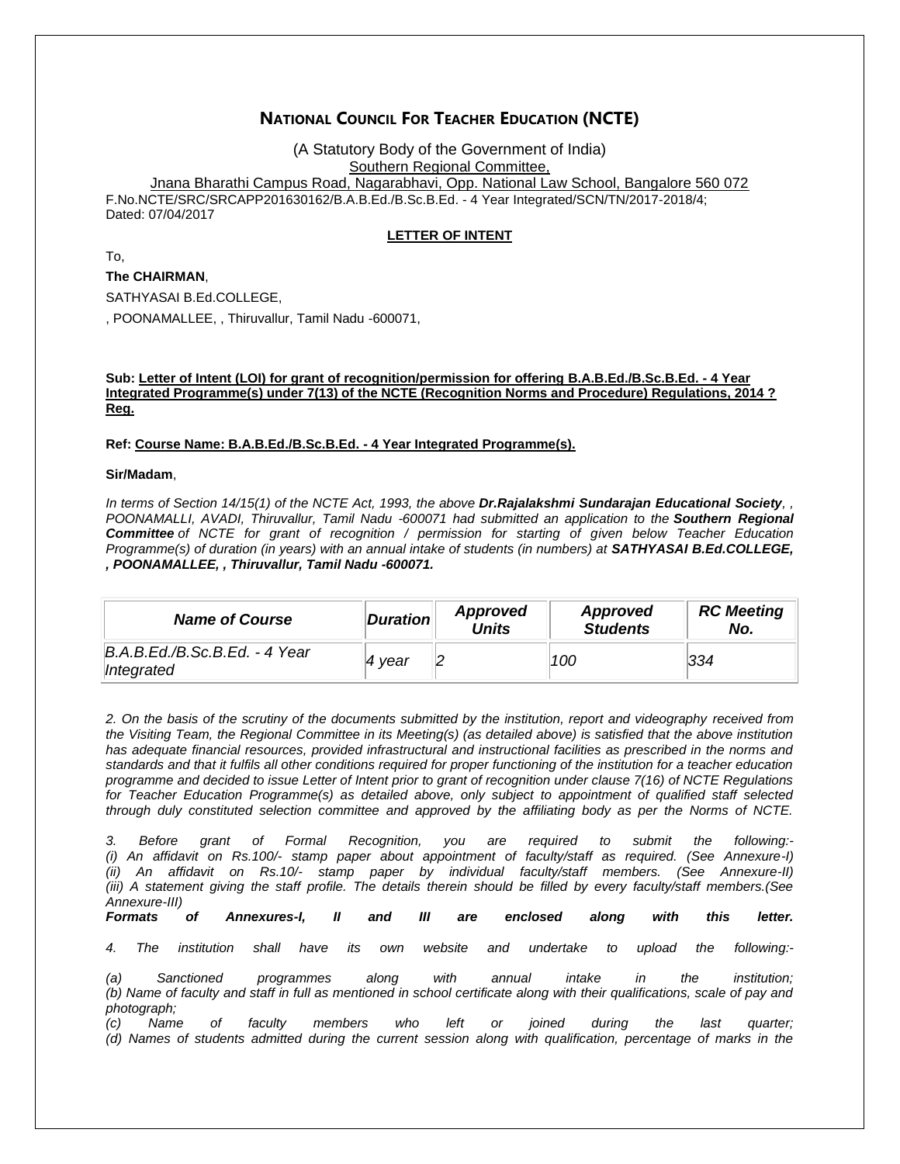# **NATIONAL COUNCIL FOR TEACHER EDUCATION (NCTE)**

(A Statutory Body of the Government of India) Southern Regional Committee, Jnana Bharathi Campus Road, Nagarabhavi, Opp. National Law School, Bangalore 560 072 F.No.NCTE/SRC/SRCAPP201630162/B.A.B.Ed./B.Sc.B.Ed. - 4 Year Integrated/SCN/TN/2017-2018/4; Dated: 07/04/2017

### **LETTER OF INTENT**

To,

#### **The CHAIRMAN**,

SATHYASAI B.Ed.COLLEGE,

, POONAMALLEE, , Thiruvallur, Tamil Nadu -600071,

#### **Sub: Letter of Intent (LOI) for grant of recognition/permission for offering B.A.B.Ed./B.Sc.B.Ed. - 4 Year Integrated Programme(s) under 7(13) of the NCTE (Recognition Norms and Procedure) Regulations, 2014 ? Reg.**

#### **Ref: Course Name: B.A.B.Ed./B.Sc.B.Ed. - 4 Year Integrated Programme(s).**

**Sir/Madam**,

*In terms of Section 14/15(1) of the NCTE Act, 1993, the above Dr.Rajalakshmi Sundarajan Educational Society, , POONAMALLI, AVADI, Thiruvallur, Tamil Nadu -600071 had submitted an application to the Southern Regional Committee of NCTE for grant of recognition / permission for starting of given below Teacher Education Programme(s) of duration (in years) with an annual intake of students (in numbers) at SATHYASAI B.Ed.COLLEGE, , POONAMALLEE, , Thiruvallur, Tamil Nadu -600071.*

| <b>Name of Course</b>                       | <b>Duration</b> | Approved<br><b>Units</b> | Approved<br><b>Students</b> | <b>RC Meeting</b><br>No. |
|---------------------------------------------|-----------------|--------------------------|-----------------------------|--------------------------|
| B.A.B.Ed./B.Sc.B.Ed. - 4 Year<br>Integrated | ∣4 vear         |                          | 100                         | 334                      |

*2. On the basis of the scrutiny of the documents submitted by the institution, report and videography received from the Visiting Team, the Regional Committee in its Meeting(s) (as detailed above) is satisfied that the above institution has adequate financial resources, provided infrastructural and instructional facilities as prescribed in the norms and standards and that it fulfils all other conditions required for proper functioning of the institution for a teacher education programme and decided to issue Letter of Intent prior to grant of recognition under clause 7(16) of NCTE Regulations for Teacher Education Programme(s) as detailed above, only subject to appointment of qualified staff selected through duly constituted selection committee and approved by the affiliating body as per the Norms of NCTE.*

*3. Before grant of Formal Recognition, you are required to submit the following:- (i) An affidavit on Rs.100/- stamp paper about appointment of faculty/staff as required. (See Annexure-I) (ii) An affidavit on Rs.10/- stamp paper by individual faculty/staff members. (See Annexure-II) (iii) A statement giving the staff profile. The details therein should be filled by every faculty/staff members.(See Annexure-III)*

*Formats of Annexures-I, II and III are enclosed along with this letter.*

*4. The institution shall have its own website and undertake to upload the following:-*

*(a) Sanctioned programmes along with annual intake in the institution; (b) Name of faculty and staff in full as mentioned in school certificate along with their qualifications, scale of pay and photograph;* 

*(c) Name of faculty members who left or joined during the last quarter; (d) Names of students admitted during the current session along with qualification, percentage of marks in the*